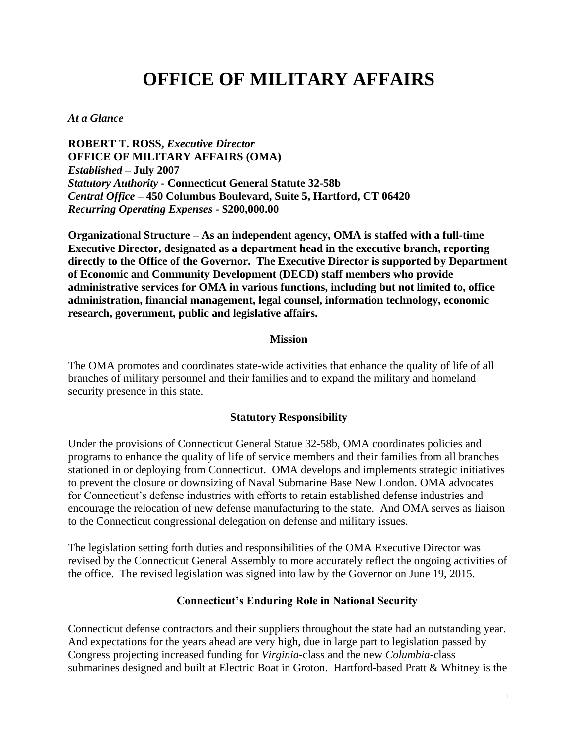# **OFFICE OF MILITARY AFFAIRS**

#### *At a Glance*

**ROBERT T. ROSS,** *Executive Director* **OFFICE OF MILITARY AFFAIRS (OMA)** *Established* **– July 2007** *Statutory Authority* **- Connecticut General Statute 32-58b** *Central Office* **– 450 Columbus Boulevard, Suite 5, Hartford, CT 06420** *Recurring Operating Expenses* **- \$200,000.00**

**Organizational Structure – As an independent agency, OMA is staffed with a full-time Executive Director, designated as a department head in the executive branch, reporting directly to the Office of the Governor. The Executive Director is supported by Department of Economic and Community Development (DECD) staff members who provide administrative services for OMA in various functions, including but not limited to, office administration, financial management, legal counsel, information technology, economic research, government, public and legislative affairs.**

#### **Mission**

The OMA promotes and coordinates state-wide activities that enhance the quality of life of all branches of military personnel and their families and to expand the military and homeland security presence in this state.

#### **Statutory Responsibility**

Under the provisions of Connecticut General Statue 32-58b, OMA coordinates policies and programs to enhance the quality of life of service members and their families from all branches stationed in or deploying from Connecticut. OMA develops and implements strategic initiatives to prevent the closure or downsizing of Naval Submarine Base New London. OMA advocates for Connecticut's defense industries with efforts to retain established defense industries and encourage the relocation of new defense manufacturing to the state. And OMA serves as liaison to the Connecticut congressional delegation on defense and military issues.

The legislation setting forth duties and responsibilities of the OMA Executive Director was revised by the Connecticut General Assembly to more accurately reflect the ongoing activities of the office. The revised legislation was signed into law by the Governor on June 19, 2015.

#### **Connecticut's Enduring Role in National Security**

Connecticut defense contractors and their suppliers throughout the state had an outstanding year. And expectations for the years ahead are very high, due in large part to legislation passed by Congress projecting increased funding for *Virginia*-class and the new *Columbia*-class submarines designed and built at Electric Boat in Groton. Hartford-based Pratt & Whitney is the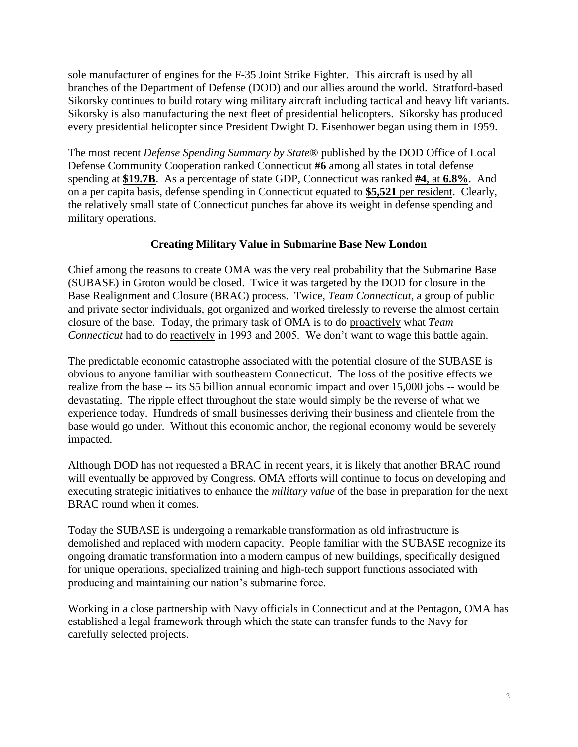sole manufacturer of engines for the F-35 Joint Strike Fighter. This aircraft is used by all branches of the Department of Defense (DOD) and our allies around the world. Stratford-based Sikorsky continues to build rotary wing military aircraft including tactical and heavy lift variants. Sikorsky is also manufacturing the next fleet of presidential helicopters. Sikorsky has produced every presidential helicopter since President Dwight D. Eisenhower began using them in 1959.

The most recent *Defense Spending Summary by State*® published by the DOD Office of Local Defense Community Cooperation ranked Connecticut **#6** among all states in total defense spending at **\$19.7B**. As a percentage of state GDP, Connecticut was ranked **#4**, at **6.8%**. And on a per capita basis, defense spending in Connecticut equated to **\$5,521** per resident. Clearly, the relatively small state of Connecticut punches far above its weight in defense spending and military operations.

# **Creating Military Value in Submarine Base New London**

Chief among the reasons to create OMA was the very real probability that the Submarine Base (SUBASE) in Groton would be closed. Twice it was targeted by the DOD for closure in the Base Realignment and Closure (BRAC) process. Twice, *Team Connecticut*, a group of public and private sector individuals, got organized and worked tirelessly to reverse the almost certain closure of the base. Today, the primary task of OMA is to do proactively what *Team Connecticut* had to do reactively in 1993 and 2005. We don't want to wage this battle again.

The predictable economic catastrophe associated with the potential closure of the SUBASE is obvious to anyone familiar with southeastern Connecticut. The loss of the positive effects we realize from the base -- its \$5 billion annual economic impact and over 15,000 jobs -- would be devastating. The ripple effect throughout the state would simply be the reverse of what we experience today. Hundreds of small businesses deriving their business and clientele from the base would go under. Without this economic anchor, the regional economy would be severely impacted.

Although DOD has not requested a BRAC in recent years, it is likely that another BRAC round will eventually be approved by Congress. OMA efforts will continue to focus on developing and executing strategic initiatives to enhance the *military value* of the base in preparation for the next BRAC round when it comes.

Today the SUBASE is undergoing a remarkable transformation as old infrastructure is demolished and replaced with modern capacity. People familiar with the SUBASE recognize its ongoing dramatic transformation into a modern campus of new buildings, specifically designed for unique operations, specialized training and high-tech support functions associated with producing and maintaining our nation's submarine force.

Working in a close partnership with Navy officials in Connecticut and at the Pentagon, OMA has established a legal framework through which the state can transfer funds to the Navy for carefully selected projects.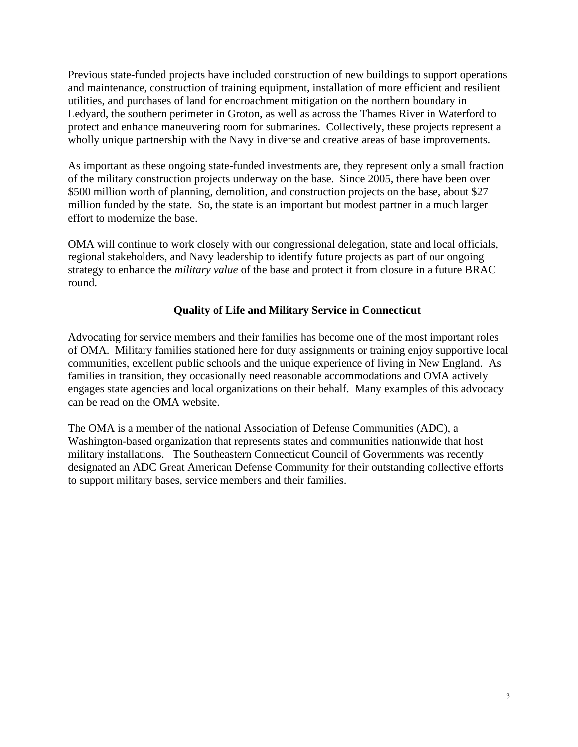Previous state-funded projects have included construction of new buildings to support operations and maintenance, construction of training equipment, installation of more efficient and resilient utilities, and purchases of land for encroachment mitigation on the northern boundary in Ledyard, the southern perimeter in Groton, as well as across the Thames River in Waterford to protect and enhance maneuvering room for submarines. Collectively, these projects represent a wholly unique partnership with the Navy in diverse and creative areas of base improvements.

As important as these ongoing state-funded investments are, they represent only a small fraction of the military construction projects underway on the base. Since 2005, there have been over \$500 million worth of planning, demolition, and construction projects on the base, about \$27 million funded by the state. So, the state is an important but modest partner in a much larger effort to modernize the base.

OMA will continue to work closely with our congressional delegation, state and local officials, regional stakeholders, and Navy leadership to identify future projects as part of our ongoing strategy to enhance the *military value* of the base and protect it from closure in a future BRAC round.

## **Quality of Life and Military Service in Connecticut**

Advocating for service members and their families has become one of the most important roles of OMA. Military families stationed here for duty assignments or training enjoy supportive local communities, excellent public schools and the unique experience of living in New England. As families in transition, they occasionally need reasonable accommodations and OMA actively engages state agencies and local organizations on their behalf. Many examples of this advocacy can be read on the OMA website.

The OMA is a member of the national Association of Defense Communities (ADC), a Washington-based organization that represents states and communities nationwide that host military installations. The Southeastern Connecticut Council of Governments was recently designated an ADC Great American Defense Community for their outstanding collective efforts to support military bases, service members and their families.